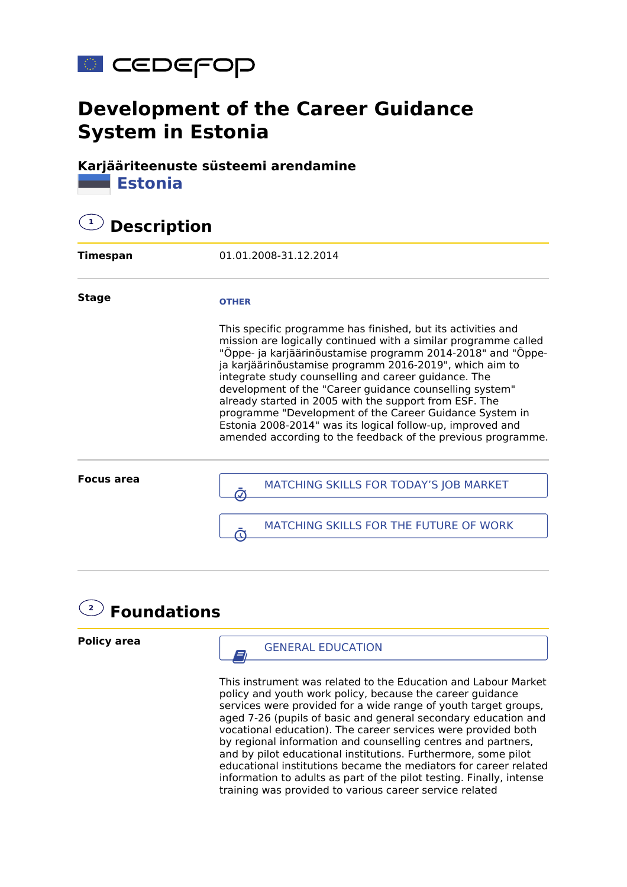

# **Development of the Career Guidance System in Estonia**

**Karjääriteenuste süsteemi arendamine Estonia**

# **1 Description**

| Timespan          | 01.01.2008-31.12.2014                                                                                                                                                                                                                                                                                                                                                                                                                                                                                                                                                                                                           |
|-------------------|---------------------------------------------------------------------------------------------------------------------------------------------------------------------------------------------------------------------------------------------------------------------------------------------------------------------------------------------------------------------------------------------------------------------------------------------------------------------------------------------------------------------------------------------------------------------------------------------------------------------------------|
| <b>Stage</b>      | <b>OTHER</b>                                                                                                                                                                                                                                                                                                                                                                                                                                                                                                                                                                                                                    |
|                   | This specific programme has finished, but its activities and<br>mission are logically continued with a similar programme called<br>"Õppe- ja karjäärinõustamise programm 2014-2018" and "Õppe-<br>ja karjäärinõustamise programm 2016-2019", which aim to<br>integrate study counselling and career guidance. The<br>development of the "Career guidance counselling system"<br>already started in 2005 with the support from ESF. The<br>programme "Development of the Career Guidance System in<br>Estonia 2008-2014" was its logical follow-up, improved and<br>amended according to the feedback of the previous programme. |
| <b>Focus area</b> | MATCHING SKILLS FOR TODAY'S JOB MARKET                                                                                                                                                                                                                                                                                                                                                                                                                                                                                                                                                                                          |
|                   | MATCHING SKILLS FOR THE FUTURE OF WORK                                                                                                                                                                                                                                                                                                                                                                                                                                                                                                                                                                                          |



**Policy area**

 $\overline{a}$  GENERAL EDUCATION

This instrument was related to the Education and Labour Market policy and youth work policy, because the career guidance services were provided for a wide range of youth target groups, aged 7-26 (pupils of basic and general secondary education and vocational education). The career services were provided both by regional information and counselling centres and partners, and by pilot educational institutions. Furthermore, some pilot educational institutions became the mediators for career related information to adults as part of the pilot testing. Finally, intense training was provided to various career service related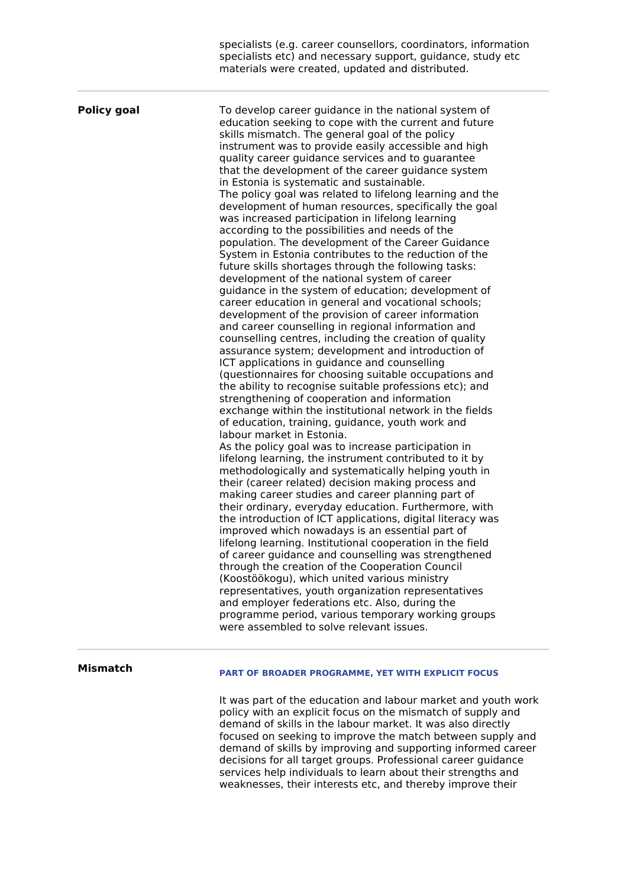|                    | specialists (e.g. career counsellors, coordinators, information<br>specialists etc) and necessary support, guidance, study etc<br>materials were created, updated and distributed.                                                                                                                                                                                                                                                                                                                                                                                                                                                                                                                                                                                                                                                                                                                                                                                                                                                                                                                                                                                                                                                                                                                                                                                                                                                                                                                                                                                                                                                                                                                                                                                                                                                                                                                                                                                                                                                                                                                                                                                                                                                                                                                                                                                                                                                           |
|--------------------|----------------------------------------------------------------------------------------------------------------------------------------------------------------------------------------------------------------------------------------------------------------------------------------------------------------------------------------------------------------------------------------------------------------------------------------------------------------------------------------------------------------------------------------------------------------------------------------------------------------------------------------------------------------------------------------------------------------------------------------------------------------------------------------------------------------------------------------------------------------------------------------------------------------------------------------------------------------------------------------------------------------------------------------------------------------------------------------------------------------------------------------------------------------------------------------------------------------------------------------------------------------------------------------------------------------------------------------------------------------------------------------------------------------------------------------------------------------------------------------------------------------------------------------------------------------------------------------------------------------------------------------------------------------------------------------------------------------------------------------------------------------------------------------------------------------------------------------------------------------------------------------------------------------------------------------------------------------------------------------------------------------------------------------------------------------------------------------------------------------------------------------------------------------------------------------------------------------------------------------------------------------------------------------------------------------------------------------------------------------------------------------------------------------------------------------------|
| <b>Policy goal</b> | To develop career guidance in the national system of<br>education seeking to cope with the current and future<br>skills mismatch. The general goal of the policy<br>instrument was to provide easily accessible and high<br>quality career guidance services and to guarantee<br>that the development of the career quidance system<br>in Estonia is systematic and sustainable.<br>The policy goal was related to lifelong learning and the<br>development of human resources, specifically the goal<br>was increased participation in lifelong learning<br>according to the possibilities and needs of the<br>population. The development of the Career Guidance<br>System in Estonia contributes to the reduction of the<br>future skills shortages through the following tasks:<br>development of the national system of career<br>guidance in the system of education; development of<br>career education in general and vocational schools;<br>development of the provision of career information<br>and career counselling in regional information and<br>counselling centres, including the creation of quality<br>assurance system; development and introduction of<br>ICT applications in guidance and counselling<br>(questionnaires for choosing suitable occupations and<br>the ability to recognise suitable professions etc); and<br>strengthening of cooperation and information<br>exchange within the institutional network in the fields<br>of education, training, guidance, youth work and<br>labour market in Estonia.<br>As the policy goal was to increase participation in<br>lifelong learning, the instrument contributed to it by<br>methodologically and systematically helping youth in<br>their (career related) decision making process and<br>making career studies and career planning part of<br>their ordinary, everyday education. Furthermore, with<br>the introduction of ICT applications, digital literacy was<br>improved which nowadays is an essential part of<br>lifelong learning. Institutional cooperation in the field<br>of career guidance and counselling was strengthened<br>through the creation of the Cooperation Council<br>(Koostöökogu), which united various ministry<br>representatives, youth organization representatives<br>and employer federations etc. Also, during the<br>programme period, various temporary working groups<br>were assembled to solve relevant issues. |
|                    |                                                                                                                                                                                                                                                                                                                                                                                                                                                                                                                                                                                                                                                                                                                                                                                                                                                                                                                                                                                                                                                                                                                                                                                                                                                                                                                                                                                                                                                                                                                                                                                                                                                                                                                                                                                                                                                                                                                                                                                                                                                                                                                                                                                                                                                                                                                                                                                                                                              |

### **Mismatch**

### **PART OF BROADER PROGRAMME, YET WITH EXPLICIT FOCUS**

It was part of the education and labour market and youth work policy with an explicit focus on the mismatch of supply and demand of skills in the labour market. It was also directly focused on seeking to improve the match between supply and demand of skills by improving and supporting informed career decisions for all target groups. Professional career guidance services help individuals to learn about their strengths and weaknesses, their interests etc, and thereby improve their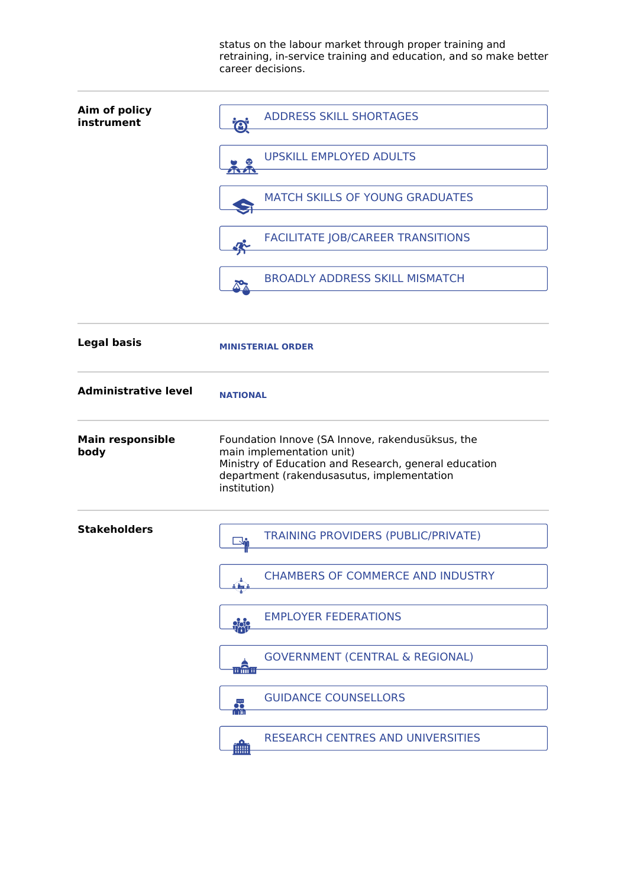status on the labour market through proper training and retraining, in-service training and education, and so make better career decisions.

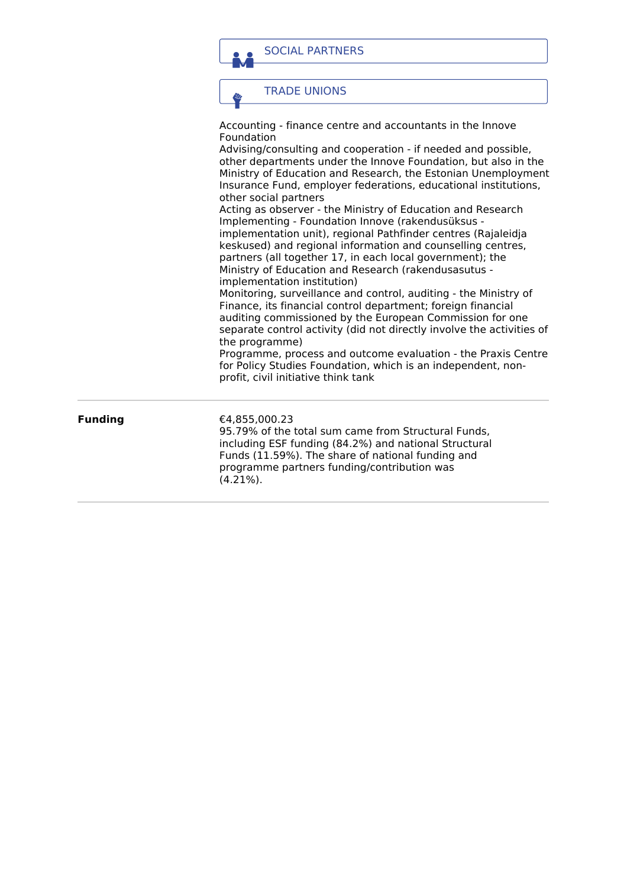SOCIAL PARTNERS

TRADE UNIONS

都

Accounting - finance centre and accountants in the Innove Foundation

Advising/consulting and cooperation - if needed and possible, other departments under the Innove Foundation, but also in the Ministry of Education and Research, the Estonian Unemployment Insurance Fund, employer federations, educational institutions, other social partners

Acting as observer - the Ministry of Education and Research Implementing - Foundation Innove (rakendusüksus implementation unit), regional Pathfinder centres (Rajaleidja keskused) and regional information and counselling centres, partners (all together 17, in each local government); the Ministry of Education and Research (rakendusasutus implementation institution)

Monitoring, surveillance and control, auditing - the Ministry of Finance, its financial control department; foreign financial auditing commissioned by the European Commission for one separate control activity (did not directly involve the activities of the programme)

Programme, process and outcome evaluation - the Praxis Centre for Policy Studies Foundation, which is an independent, nonprofit, civil initiative think tank

**Funding** €4,855,000.23

95.79% of the total sum came from Structural Funds, including ESF funding (84.2%) and national Structural Funds (11.59%). The share of national funding and programme partners funding/contribution was (4.21%).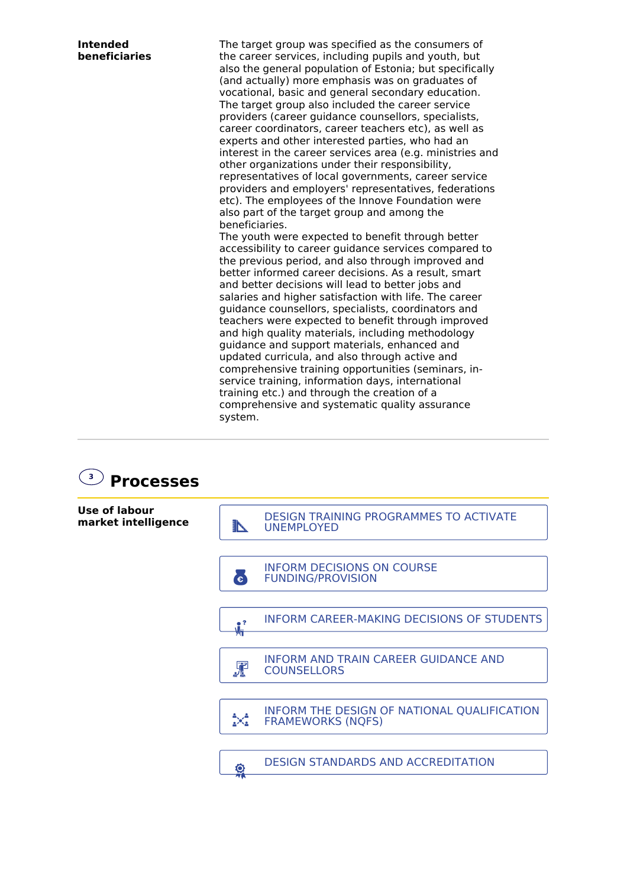| <b>Intended</b><br>beneficiaries | The target group was specified as the consumers of<br>the career services, including pupils and youth, but<br>also the general population of Estonia; but specifically<br>(and actually) more emphasis was on graduates of<br>vocational, basic and general secondary education.<br>The target group also included the career service<br>providers (career guidance counsellors, specialists,<br>career coordinators, career teachers etc), as well as<br>experts and other interested parties, who had an<br>interest in the career services area (e.g. ministries and<br>other organizations under their responsibility,<br>representatives of local governments, career service<br>providers and employers' representatives, federations<br>etc). The employees of the Innove Foundation were<br>also part of the target group and among the<br>beneficiaries.<br>The youth were expected to benefit through better<br>accessibility to career guidance services compared to<br>the previous period, and also through improved and<br>better informed career decisions. As a result, smart<br>and better decisions will lead to better jobs and<br>salaries and higher satisfaction with life. The career<br>guidance counsellors, specialists, coordinators and<br>teachers were expected to benefit through improved<br>and high quality materials, including methodology<br>guidance and support materials, enhanced and<br>updated curricula, and also through active and<br>comprehensive training opportunities (seminars, in-<br>service training, information days, international<br>training etc.) and through the creation of a<br>comprehensive and systematic quality assurance |
|----------------------------------|------------------------------------------------------------------------------------------------------------------------------------------------------------------------------------------------------------------------------------------------------------------------------------------------------------------------------------------------------------------------------------------------------------------------------------------------------------------------------------------------------------------------------------------------------------------------------------------------------------------------------------------------------------------------------------------------------------------------------------------------------------------------------------------------------------------------------------------------------------------------------------------------------------------------------------------------------------------------------------------------------------------------------------------------------------------------------------------------------------------------------------------------------------------------------------------------------------------------------------------------------------------------------------------------------------------------------------------------------------------------------------------------------------------------------------------------------------------------------------------------------------------------------------------------------------------------------------------------------------------------------------------------------------------------------------------------|
|                                  | system.                                                                                                                                                                                                                                                                                                                                                                                                                                                                                                                                                                                                                                                                                                                                                                                                                                                                                                                                                                                                                                                                                                                                                                                                                                                                                                                                                                                                                                                                                                                                                                                                                                                                                        |

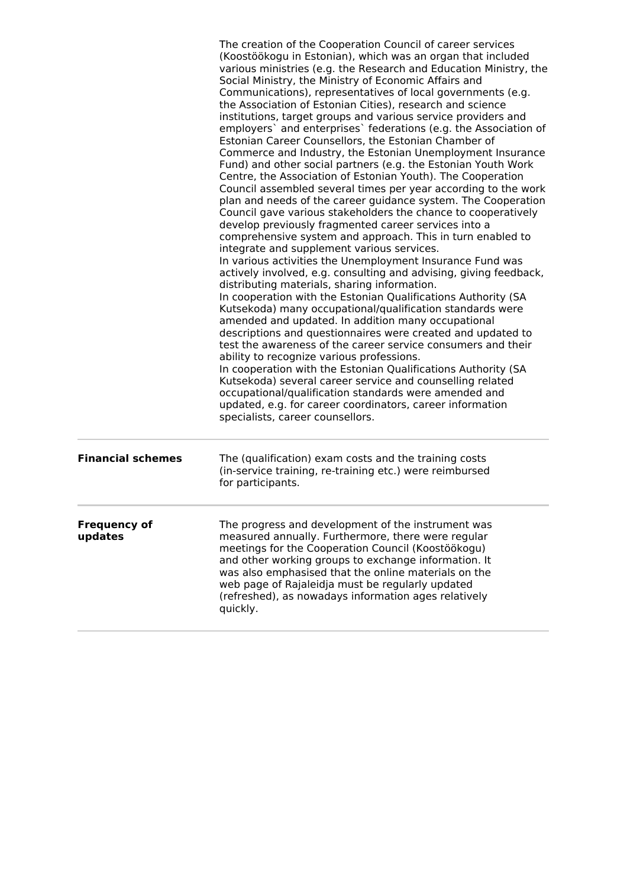|                                | The creation of the Cooperation Council of career services<br>(Koostöökogu in Estonian), which was an organ that included<br>various ministries (e.g. the Research and Education Ministry, the<br>Social Ministry, the Ministry of Economic Affairs and<br>Communications), representatives of local governments (e.g.<br>the Association of Estonian Cities), research and science<br>institutions, target groups and various service providers and<br>employers` and enterprises` federations (e.g. the Association of<br>Estonian Career Counsellors, the Estonian Chamber of<br>Commerce and Industry, the Estonian Unemployment Insurance<br>Fund) and other social partners (e.g. the Estonian Youth Work<br>Centre, the Association of Estonian Youth). The Cooperation<br>Council assembled several times per year according to the work<br>plan and needs of the career guidance system. The Cooperation<br>Council gave various stakeholders the chance to cooperatively<br>develop previously fragmented career services into a<br>comprehensive system and approach. This in turn enabled to<br>integrate and supplement various services.<br>In various activities the Unemployment Insurance Fund was<br>actively involved, e.g. consulting and advising, giving feedback,<br>distributing materials, sharing information.<br>In cooperation with the Estonian Qualifications Authority (SA<br>Kutsekoda) many occupational/qualification standards were<br>amended and updated. In addition many occupational<br>descriptions and questionnaires were created and updated to<br>test the awareness of the career service consumers and their<br>ability to recognize various professions.<br>In cooperation with the Estonian Qualifications Authority (SA<br>Kutsekoda) several career service and counselling related<br>occupational/qualification standards were amended and<br>updated, e.g. for career coordinators, career information<br>specialists, career counsellors. |
|--------------------------------|--------------------------------------------------------------------------------------------------------------------------------------------------------------------------------------------------------------------------------------------------------------------------------------------------------------------------------------------------------------------------------------------------------------------------------------------------------------------------------------------------------------------------------------------------------------------------------------------------------------------------------------------------------------------------------------------------------------------------------------------------------------------------------------------------------------------------------------------------------------------------------------------------------------------------------------------------------------------------------------------------------------------------------------------------------------------------------------------------------------------------------------------------------------------------------------------------------------------------------------------------------------------------------------------------------------------------------------------------------------------------------------------------------------------------------------------------------------------------------------------------------------------------------------------------------------------------------------------------------------------------------------------------------------------------------------------------------------------------------------------------------------------------------------------------------------------------------------------------------------------------------------------------------------------------------------------------------------------------------------------------|
| <b>Financial schemes</b>       | The (qualification) exam costs and the training costs<br>(in-service training, re-training etc.) were reimbursed<br>for participants.                                                                                                                                                                                                                                                                                                                                                                                                                                                                                                                                                                                                                                                                                                                                                                                                                                                                                                                                                                                                                                                                                                                                                                                                                                                                                                                                                                                                                                                                                                                                                                                                                                                                                                                                                                                                                                                            |
| <b>Frequency of</b><br>updates | The progress and development of the instrument was<br>measured annually. Furthermore, there were regular<br>meetings for the Cooperation Council (Koostöökogu)<br>and other working groups to exchange information. It<br>was also emphasised that the online materials on the<br>web page of Rajaleidja must be regularly updated<br>(refreshed), as nowadays information ages relatively<br>quickly.                                                                                                                                                                                                                                                                                                                                                                                                                                                                                                                                                                                                                                                                                                                                                                                                                                                                                                                                                                                                                                                                                                                                                                                                                                                                                                                                                                                                                                                                                                                                                                                           |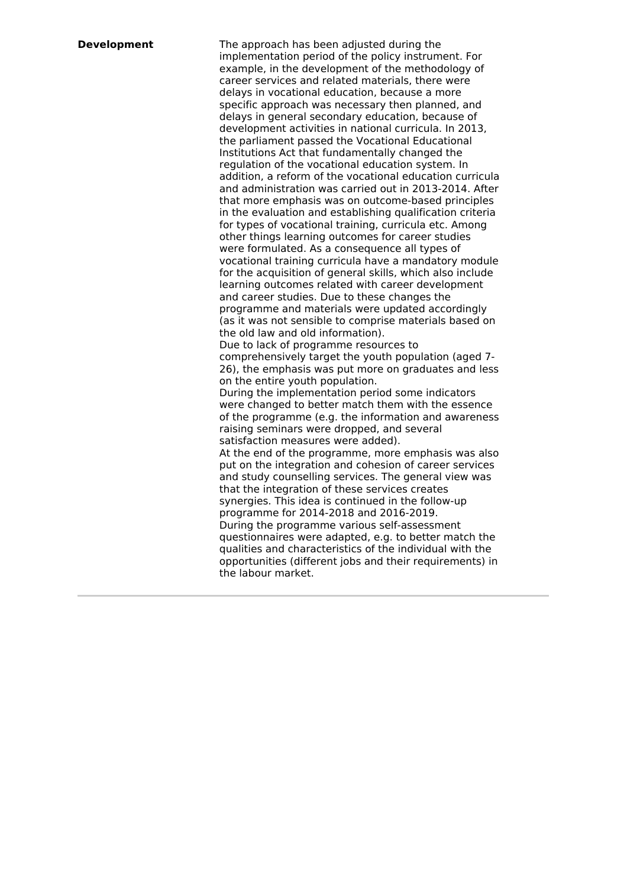**Development** The approach has been adjusted during the implementation period of the policy instrument. For example, in the development of the methodology of career services and related materials, there were delays in vocational education, because a more specific approach was necessary then planned, and delays in general secondary education, because of development activities in national curricula. In 2013, the parliament passed the Vocational Educational Institutions Act that fundamentally changed the regulation of the vocational education system. In addition, a reform of the vocational education curricula and administration was carried out in 2013-2014. After that more emphasis was on outcome-based principles in the evaluation and establishing qualification criteria for types of vocational training, curricula etc. Among other things learning outcomes for career studies were formulated. As a consequence all types of vocational training curricula have a mandatory module for the acquisition of general skills, which also include learning outcomes related with career development and career studies. Due to these changes the programme and materials were updated accordingly (as it was not sensible to comprise materials based on the old law and old information). Due to lack of programme resources to comprehensively target the youth population (aged 7- 26), the emphasis was put more on graduates and less on the entire youth population. During the implementation period some indicators were changed to better match them with the essence of the programme (e.g. the information and awareness raising seminars were dropped, and several satisfaction measures were added). At the end of the programme, more emphasis was also put on the integration and cohesion of career services and study counselling services. The general view was that the integration of these services creates synergies. This idea is continued in the follow-up programme for 2014-2018 and 2016-2019. During the programme various self-assessment questionnaires were adapted, e.g. to better match the qualities and characteristics of the individual with the opportunities (different jobs and their requirements) in the labour market.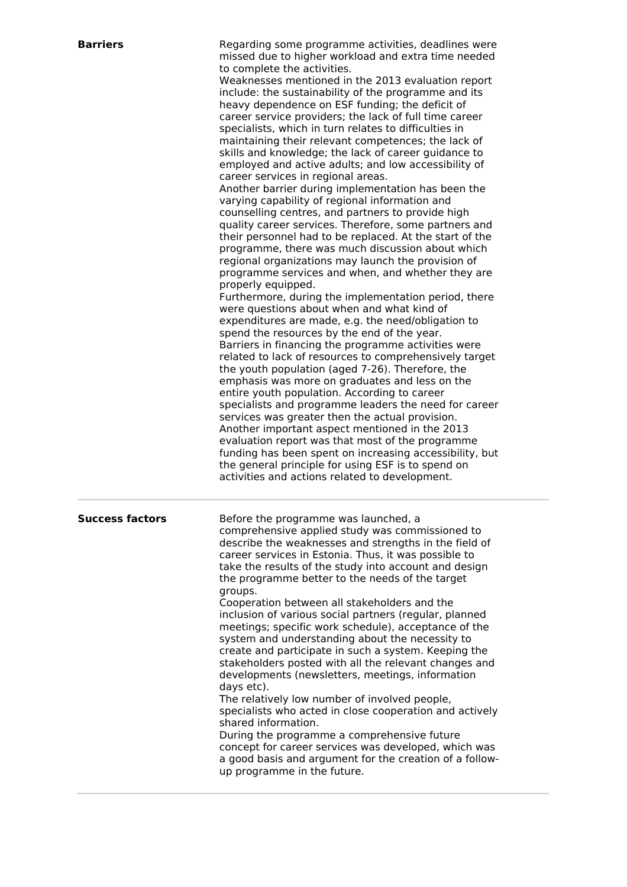| <b>Barriers</b>        | Regarding some programme activities, deadlines were<br>missed due to higher workload and extra time needed<br>to complete the activities.<br>Weaknesses mentioned in the 2013 evaluation report<br>include: the sustainability of the programme and its<br>heavy dependence on ESF funding; the deficit of<br>career service providers; the lack of full time career<br>specialists, which in turn relates to difficulties in<br>maintaining their relevant competences; the lack of<br>skills and knowledge; the lack of career guidance to<br>employed and active adults; and low accessibility of<br>career services in regional areas.<br>Another barrier during implementation has been the<br>varying capability of regional information and<br>counselling centres, and partners to provide high<br>quality career services. Therefore, some partners and<br>their personnel had to be replaced. At the start of the<br>programme, there was much discussion about which<br>regional organizations may launch the provision of<br>programme services and when, and whether they are<br>properly equipped.<br>Furthermore, during the implementation period, there<br>were questions about when and what kind of<br>expenditures are made, e.g. the need/obligation to<br>spend the resources by the end of the year.<br>Barriers in financing the programme activities were<br>related to lack of resources to comprehensively target<br>the youth population (aged 7-26). Therefore, the<br>emphasis was more on graduates and less on the<br>entire youth population. According to career<br>specialists and programme leaders the need for career<br>services was greater then the actual provision.<br>Another important aspect mentioned in the 2013<br>evaluation report was that most of the programme<br>funding has been spent on increasing accessibility, but<br>the general principle for using ESF is to spend on<br>activities and actions related to development. |
|------------------------|-----------------------------------------------------------------------------------------------------------------------------------------------------------------------------------------------------------------------------------------------------------------------------------------------------------------------------------------------------------------------------------------------------------------------------------------------------------------------------------------------------------------------------------------------------------------------------------------------------------------------------------------------------------------------------------------------------------------------------------------------------------------------------------------------------------------------------------------------------------------------------------------------------------------------------------------------------------------------------------------------------------------------------------------------------------------------------------------------------------------------------------------------------------------------------------------------------------------------------------------------------------------------------------------------------------------------------------------------------------------------------------------------------------------------------------------------------------------------------------------------------------------------------------------------------------------------------------------------------------------------------------------------------------------------------------------------------------------------------------------------------------------------------------------------------------------------------------------------------------------------------------------------------------------------------------------------------------------------------------------|
| <b>Success factors</b> | Before the programme was launched, a<br>comprehensive applied study was commissioned to<br>describe the weaknesses and strengths in the field of<br>career services in Estonia. Thus, it was possible to<br>take the results of the study into account and design<br>the programme better to the needs of the target<br>groups.<br>Cooperation between all stakeholders and the<br>inclusion of various social partners (regular, planned<br>meetings; specific work schedule), acceptance of the<br>system and understanding about the necessity to<br>create and participate in such a system. Keeping the<br>stakeholders posted with all the relevant changes and<br>developments (newsletters, meetings, information<br>days etc).<br>The relatively low number of involved people,<br>specialists who acted in close cooperation and actively<br>shared information.<br>During the programme a comprehensive future<br>concept for career services was developed, which was<br>a good basis and argument for the creation of a follow-<br>up programme in the future.                                                                                                                                                                                                                                                                                                                                                                                                                                                                                                                                                                                                                                                                                                                                                                                                                                                                                                             |

π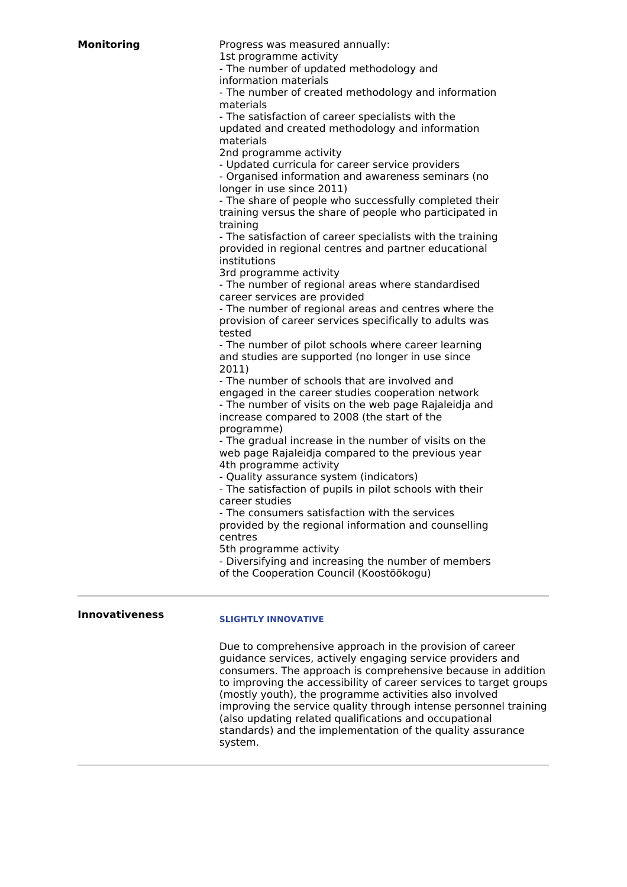| <b>Monitoring</b> | Progress was measured annually:                                                                          |
|-------------------|----------------------------------------------------------------------------------------------------------|
|                   | 1st programme activity                                                                                   |
|                   | - The number of updated methodology and                                                                  |
|                   | information materials                                                                                    |
|                   | - The number of created methodology and information                                                      |
|                   | materials                                                                                                |
|                   | - The satisfaction of career specialists with the                                                        |
|                   | updated and created methodology and information<br>materials                                             |
|                   | 2nd programme activity                                                                                   |
|                   | - Updated curricula for career service providers                                                         |
|                   | - Organised information and awareness seminars (no                                                       |
|                   | longer in use since 2011)                                                                                |
|                   | - The share of people who successfully completed their                                                   |
|                   | training versus the share of people who participated in                                                  |
|                   | training                                                                                                 |
|                   | - The satisfaction of career specialists with the training                                               |
|                   | provided in regional centres and partner educational                                                     |
|                   | institutions                                                                                             |
|                   | 3rd programme activity                                                                                   |
|                   | - The number of regional areas where standardised                                                        |
|                   | career services are provided                                                                             |
|                   | - The number of regional areas and centres where the                                                     |
|                   | provision of career services specifically to adults was                                                  |
|                   | tested                                                                                                   |
|                   | - The number of pilot schools where career learning<br>and studies are supported (no longer in use since |
|                   | 2011)                                                                                                    |
|                   | - The number of schools that are involved and                                                            |
|                   | engaged in the career studies cooperation network                                                        |
|                   | - The number of visits on the web page Rajaleidja and                                                    |
|                   | increase compared to 2008 (the start of the                                                              |
|                   | programme)                                                                                               |
|                   | - The gradual increase in the number of visits on the                                                    |
|                   | web page Rajaleidja compared to the previous year                                                        |
|                   | 4th programme activity                                                                                   |
|                   | - Quality assurance system (indicators)                                                                  |
|                   | - The satisfaction of pupils in pilot schools with their                                                 |
|                   | career studies                                                                                           |
|                   | - The consumers satisfaction with the services                                                           |
|                   | provided by the regional information and counselling                                                     |
|                   | centres                                                                                                  |
|                   | 5th programme activity                                                                                   |
|                   | - Diversifying and increasing the number of members                                                      |

of the Cooperation Council (Koostöökogu)

### **Innovativeness**

### **SLIGHTLY INNOVATIVE**

Due to comprehensive approach in the provision of career guidance services, actively engaging service providers and consumers. The approach is comprehensive because in addition to improving the accessibility of career services to target groups (mostly youth), the programme activities also involved improving the service quality through intense personnel training (also updating related qualifications and occupational standards) and the implementation of the quality assurance system.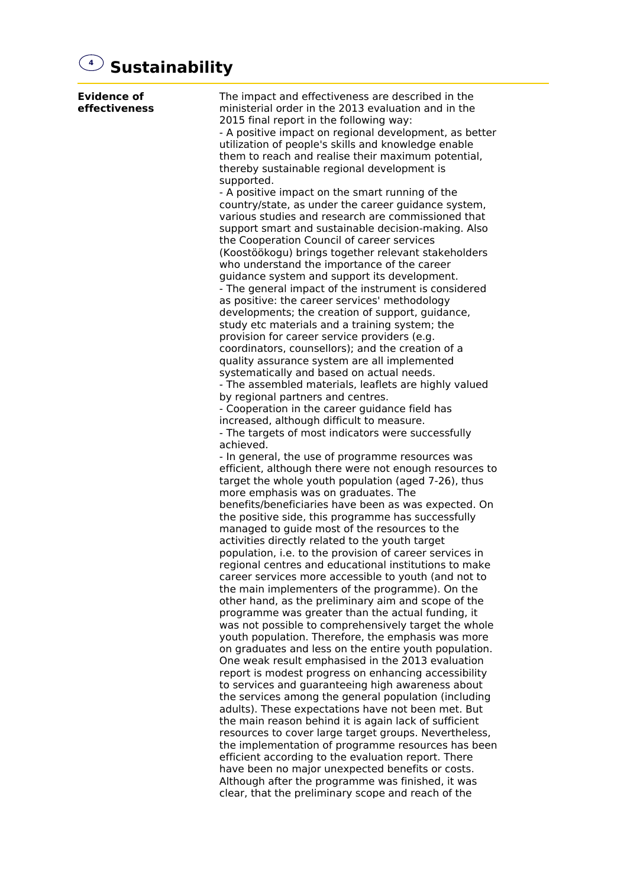# **4 Sustainability**

| <b>Evidence of</b><br>effectiveness | The impact and effectiveness are described in the<br>ministerial order in the 2013 evaluation and in the<br>2015 final report in the following way:<br>- A positive impact on regional development, as better<br>utilization of people's skills and knowledge enable<br>them to reach and realise their maximum potential,<br>thereby sustainable regional development is<br>supported.<br>- A positive impact on the smart running of the<br>country/state, as under the career guidance system,<br>various studies and research are commissioned that<br>support smart and sustainable decision-making. Also<br>the Cooperation Council of career services<br>(Koostöökogu) brings together relevant stakeholders<br>who understand the importance of the career<br>guidance system and support its development.<br>- The general impact of the instrument is considered |
|-------------------------------------|----------------------------------------------------------------------------------------------------------------------------------------------------------------------------------------------------------------------------------------------------------------------------------------------------------------------------------------------------------------------------------------------------------------------------------------------------------------------------------------------------------------------------------------------------------------------------------------------------------------------------------------------------------------------------------------------------------------------------------------------------------------------------------------------------------------------------------------------------------------------------|
|                                     | as positive: the career services' methodology<br>developments; the creation of support, guidance,<br>study etc materials and a training system; the<br>provision for career service providers (e.g.<br>coordinators, counsellors); and the creation of a<br>quality assurance system are all implemented<br>systematically and based on actual needs.<br>- The assembled materials, leaflets are highly valued                                                                                                                                                                                                                                                                                                                                                                                                                                                             |
|                                     | by regional partners and centres.<br>- Cooperation in the career guidance field has<br>increased, although difficult to measure.<br>- The targets of most indicators were successfully<br>achieved.                                                                                                                                                                                                                                                                                                                                                                                                                                                                                                                                                                                                                                                                        |
|                                     | - In general, the use of programme resources was<br>efficient, although there were not enough resources to<br>target the whole youth population (aged 7-26), thus<br>more emphasis was on graduates. The<br>benefits/beneficiaries have been as was expected. On                                                                                                                                                                                                                                                                                                                                                                                                                                                                                                                                                                                                           |
|                                     | the positive side, this programme has successfully<br>managed to guide most of the resources to the<br>activities directly related to the youth target<br>population, i.e. to the provision of career services in<br>regional centres and educational institutions to make<br>career services more accessible to youth (and not to<br>the main implementers of the programme). On the                                                                                                                                                                                                                                                                                                                                                                                                                                                                                      |
|                                     | other hand, as the preliminary aim and scope of the<br>programme was greater than the actual funding, it<br>was not possible to comprehensively target the whole<br>youth population. Therefore, the emphasis was more<br>on graduates and less on the entire youth population.<br>One weak result emphasised in the 2013 evaluation<br>report is modest progress on enhancing accessibility                                                                                                                                                                                                                                                                                                                                                                                                                                                                               |
|                                     | to services and guaranteeing high awareness about<br>the services among the general population (including<br>adults). These expectations have not been met. But<br>the main reason behind it is again lack of sufficient<br>resources to cover large target groups. Nevertheless,<br>the implementation of programme resources has been<br>efficient according to the evaluation report. There<br>have been no major unexpected benefits or costs.<br>Although after the programme was finished, it was<br>clear, that the preliminary scope and reach of the                                                                                                                                                                                                                                                                                                              |